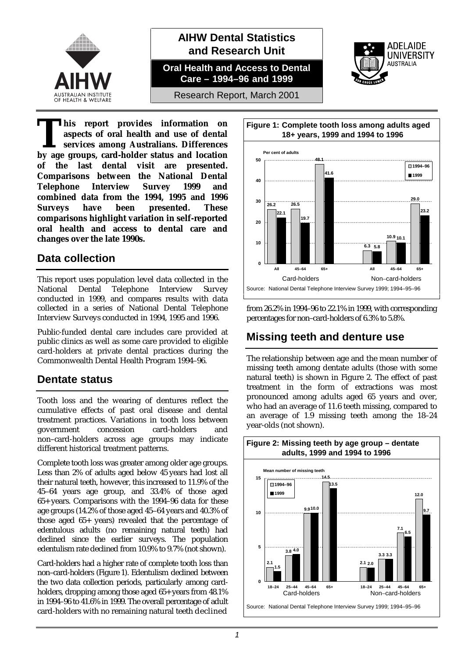

### **AIHW Dental Statistics and Research Unit**

**Oral Health and Access to Dental Care – 1994–96 and 1999**



Research Report, March 2001

**his report provides information on aspects of oral health and use of dental services among Australians. Differences but also aspects of oral health and use of dental<br>services among Australians. Differences<br>by age groups, card-holder status and location of the last dental visit are presented. Comparisons between the National Dental Telephone Interview Survey 1999 and combined data from the 1994, 1995 and 1996 Surveys have been presented. These comparisons highlight variation in self-reported oral health and access to dental care and changes over the late 1990s.**

### **Data collection**

This report uses population level data collected in the National Dental Telephone Interview Survey conducted in 1999, and compares results with data collected in a series of National Dental Telephone Interview Surveys conducted in 1994, 1995 and 1996.

Public-funded dental care includes care provided at public clinics as well as some care provided to eligible card-holders at private dental practices during the Commonwealth Dental Health Program 1994–96.

# **Dentate status**

Tooth loss and the wearing of dentures reflect the cumulative effects of past oral disease and dental treatment practices. Variations in tooth loss between government concession card-holders and non–card-holders across age groups may indicate different historical treatment patterns.

Complete tooth loss was greater among older age groups. Less than 2% of adults aged below 45 years had lost all their natural teeth, however, this increased to 11.9% of the 45–64 years age group, and 33.4% of those aged 65+ years. Comparisons with the 1994–96 data for these age groups (14.2% of those aged 45–64 years and 40.3% of those aged 65+ years) revealed that the percentage of edentulous adults (no remaining natural teeth) had declined since the earlier surveys. The population edentulism rate declined from 10.9% to 9.7% (not shown).

Card-holders had a higher rate of complete tooth loss than non–card-holders (Figure 1). Edentulism declined between the two data collection periods, particularly among cardholders, dropping among those aged  $65+$  years from  $48.1\%$ in 1994–96 to 41.6% in 1999. The overall percentage of adult card-holders with no remaining natural teeth declined



from 26.2% in 1994–96 to 22.1% in 1999, with corresponding percentages for non–card-holders of 6.3% to 5.8%.

# **Missing teeth and denture use**

The relationship between age and the mean number of missing teeth among dentate adults (those with some natural teeth) is shown in Figure 2. The effect of past treatment in the form of extractions was most pronounced among adults aged 65 years and over, who had an average of 11.6 teeth missing, compared to an average of 1.9 missing teeth among the 18–24 year-olds (not shown).

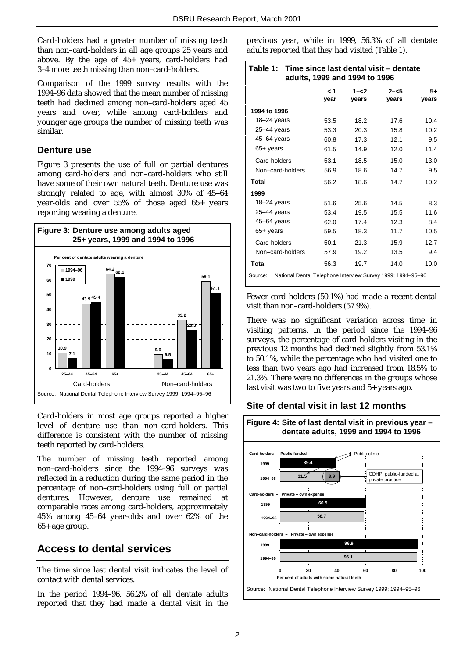Card-holders had a greater number of missing teeth than non–card-holders in all age groups 25 years and above. By the age of 45+ years, card-holders had 3–4 more teeth missing than non–card-holders.

Comparison of the 1999 survey results with the 1994–96 data showed that the mean number of missing teeth had declined among non–card-holders aged 45 years and over, while among card-holders and younger age groups the number of missing teeth was similar.

### **Denture use**

Figure 3 presents the use of full or partial dentures among card-holders and non–card-holders who still have some of their own natural teeth. Denture use was strongly related to age, with almost 30% of 45–64 year-olds and over 55% of those aged 65+ years reporting wearing a denture.



Card-holders in most age groups reported a higher level of denture use than non–card-holders. This difference is consistent with the number of missing teeth reported by card-holders.

The number of missing teeth reported among non–card-holders since the 1994–96 surveys was reflected in a reduction during the same period in the percentage of non–card-holders using full or partial dentures. However, denture use remained at comparable rates among card-holders, approximately 45% among 45–64 year-olds and over 62% of the 65+ age group.

# **Access to dental services**

The time since last dental visit indicates the level of contact with dental services.

In the period 1994–96, 56.2% of all dentate adults reported that they had made a dental visit in the previous year, while in 1999, 56.3% of all dentate adults reported that they had visited (Table 1).

| Table 1: Time since last dental visit – dentate<br>adults, 1999 and 1994 to 1996 |      |         |         |       |  |
|----------------------------------------------------------------------------------|------|---------|---------|-------|--|
|                                                                                  | د م  | $1 - 2$ | $2 - 5$ | $5+$  |  |
|                                                                                  | year | years   | vears   | vears |  |
| 1994 to 1996                                                                     |      |         |         |       |  |
| $18 - 24$ years                                                                  | 53.5 | 18.2    | 17.6    | 10.4  |  |
| $25 - 44$ years                                                                  | 53.3 | 20.3    | 15.8    | 10.2  |  |
| $45 - 64$ years                                                                  | 60.8 | 17.3    | 12.1    | 9.5   |  |
| $65+$ years                                                                      | 61.5 | 14.9    | 12.0    | 11.4  |  |
| Card-holders                                                                     | 53.1 | 18.5    | 15.0    | 13.0  |  |
| Non-card-holders                                                                 | 56.9 | 18.6    | 14.7    | 9.5   |  |
| Total                                                                            | 56.2 | 18.6    | 14.7    | 10.2  |  |
| 1999                                                                             |      |         |         |       |  |
| 18–24 years                                                                      | 51.6 | 25.6    | 14.5    | 8.3   |  |
| $25 - 44$ years                                                                  | 53.4 | 19.5    | 15.5    | 11.6  |  |
| $45 - 64$ years                                                                  | 62.0 | 17.4    | 12.3    | 8.4   |  |
| $65+$ years                                                                      | 59.5 | 18.3    | 11.7    | 10.5  |  |
| Card-holders                                                                     | 50.1 | 21.3    | 15.9    | 12.7  |  |
| Non-card-holders                                                                 | 57.9 | 19.2    | 13.5    | 9.4   |  |
| Total                                                                            | 56.3 | 19.7    | 14.0    | 10.0  |  |
| National Dental Telephone Interview Survey 1999; 1994-95-96<br>Source:           |      |         |         |       |  |

Fewer card-holders (50.1%) had made a recent dental visit than non–card-holders (57.9%).

There was no significant variation across time in visiting patterns. In the period since the 1994–96 surveys, the percentage of card-holders visiting in the previous 12 months had declined slightly from 53.1% to 50.1%, while the percentage who had visited one to less than two years ago had increased from 18.5% to 21.3%. There were no differences in the groups whose last visit was two to five years and 5+ years ago.

### **Site of dental visit in last 12 months**

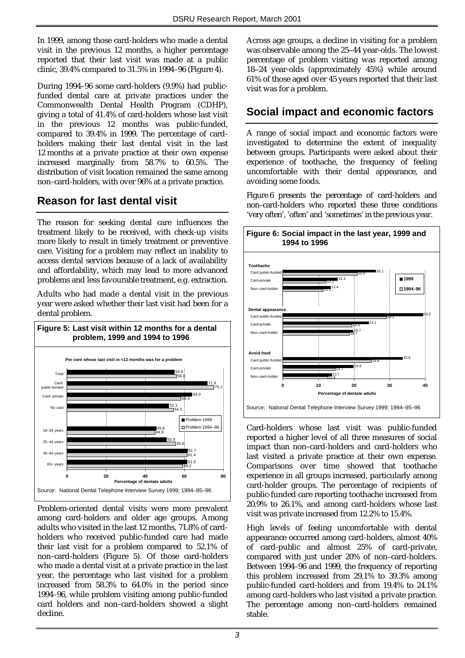In 1999, among those card-holders who made a dental visit in the previous 12 months, a higher percentage reported that their last visit was made at a public clinic, 39.4% compared to 31.5% in 1994–96 (Figure 4).

During 1994–96 some card-holders (9.9%) had publicfunded dental care at private practices under the Commonwealth Dental Health Program (CDHP), giving a total of 41.4% of card-holders whose last visit in the previous 12 months was public-funded, compared to 39.4% in 1999. The percentage of cardholders making their last dental visit in the last 12 months at a private practice at their own expense increased marginally from 58.7% to 60.5%. The distribution of visit location remained the same among non–card-holders, with over 96% at a private practice.

# **Reason for last dental visit**

The reason for seeking dental care influences the treatment likely to be received, with check-up visits more likely to result in timely treatment or preventive care. Visiting for a problem may reflect an inability to access dental services because of a lack of availability and affordability, which may lead to more advanced problems and less favourable treatment, e.g. extraction.

Adults who had made a dental visit in the previous year were asked whether their last visit had been for a dental problem.



Problem-oriented dental visits were more prevalent among card-holders and older age groups. Among adults who visited in the last 12 months, 71.8% of cardholders who received public-funded care had made their last visit for a problem compared to 52.1% of non–card-holders (Figure 5). Of those card-holders who made a dental visit at a private practice in the last year, the percentage who last visited for a problem increased from 58.3% to 64.0% in the period since 1994–96, while problem visiting among public-funded card holders and non–card-holders showed a slight decline.

Across age groups, a decline in visiting for a problem was observable among the 25–44 year-olds. The lowest percentage of problem visiting was reported among 18–24 year-olds (approximately 45%) while around 61% of those aged over 45 years reported that their last visit was for a problem.

### **Social impact and economic factors**

A range of social impact and economic factors were investigated to determine the extent of inequality between groups. Participants were asked about their experience of toothache, the frequency of feeling uncomfortable with their dental appearance, and avoiding some foods.

Figure 6 presents the percentage of card-holders and non–card-holders who reported these three conditions 'very often', 'often' and 'sometimes' in the previous year.



Card-holders whose last visit was public-funded reported a higher level of all three measures of social impact than non–card-holders and card-holders who last visited a private practice at their own expense. Comparisons over time showed that toothache experience in all groups increased, particularly among card-holder groups. The percentage of recipients of public-funded care reporting toothache increased from 20.9% to 26.1%, and among card-holders whose last visit was private increased from 12.2% to 15.4%.

High levels of feeling uncomfortable with dental appearance occurred among card-holders, almost 40% of card-public and almost 25% of card-private, compared with just under 20% of non–card-holders. Between 1994–96 and 1999, the frequency of reporting this problem increased from 29.1% to 39.3% among public-funded card-holders and from 19.4% to 24.1% among card-holders who last visited a private practice. The percentage among non–card-holders remained stable.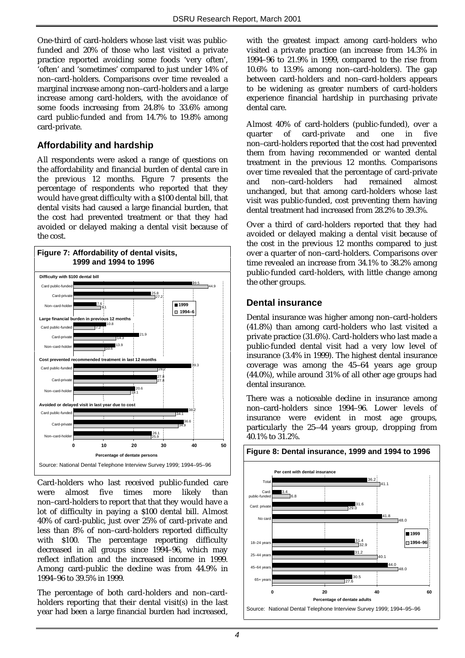One-third of card-holders whose last visit was publicfunded and 20% of those who last visited a private practice reported avoiding some foods 'very often', 'often' and 'sometimes' compared to just under 14% of non–card-holders. Comparisons over time revealed a marginal increase among non–card-holders and a large increase among card-holders, with the avoidance of some foods increasing from 24.8% to 33.6% among card public-funded and from 14.7% to 19.8% among card-private.

### **Affordability and hardship**

All respondents were asked a range of questions on the affordability and financial burden of dental care in the previous 12 months. Figure 7 presents the percentage of respondents who reported that they would have great difficulty with a \$100 dental bill, that dental visits had caused a large financial burden, that the cost had prevented treatment or that they had avoided or delayed making a dental visit because of the cost.



Card-holders who last received public-funded care were almost five times more likely than non–card-holders to report that that they would have a lot of difficulty in paying a \$100 dental bill. Almost 40% of card-public, just over 25% of card-private and less than 8% of non–card-holders reported difficulty with \$100. The percentage reporting difficulty decreased in all groups since 1994–96, which may reflect inflation and the increased income in 1999. Among card-public the decline was from 44.9% in 1994–96 to 39.5% in 1999.

The percentage of both card-holders and non–cardholders reporting that their dental visit(s) in the last year had been a large financial burden had increased, with the greatest impact among card-holders who visited a private practice (an increase from 14.3% in 1994–96 to 21.9% in 1999, compared to the rise from 10.6% to 13.9% among non–card-holders). The gap between card-holders and non–card-holders appears to be widening as greater numbers of card-holders experience financial hardship in purchasing private dental care.

Almost 40% of card-holders (public-funded), over a quarter of card-private and one in five non–card-holders reported that the cost had prevented them from having recommended or wanted dental treatment in the previous 12 months. Comparisons over time revealed that the percentage of card-private and non–card-holders had remained almost unchanged, but that among card-holders whose last visit was public-funded, cost preventing them having dental treatment had increased from 28.2% to 39.3%.

Over a third of card-holders reported that they had avoided or delayed making a dental visit because of the cost in the previous 12 months compared to just over a quarter of non–card-holders. Comparisons over time revealed an increase from 34.1% to 38.2% among public-funded card-holders, with little change among the other groups.

#### **Dental insurance**

Dental insurance was higher among non–card-holders (41.8%) than among card-holders who last visited a private practice (31.6%). Card-holders who last made a public-funded dental visit had a very low level of insurance (3.4% in 1999). The highest dental insurance coverage was among the 45–64 years age group (44.0%), while around 31% of all other age groups had dental insurance.

There was a noticeable decline in insurance among non–card-holders since 1994–96. Lower levels of insurance were evident in most age groups, particularly the 25–44 years group, dropping from 40.1% to 31.2%.

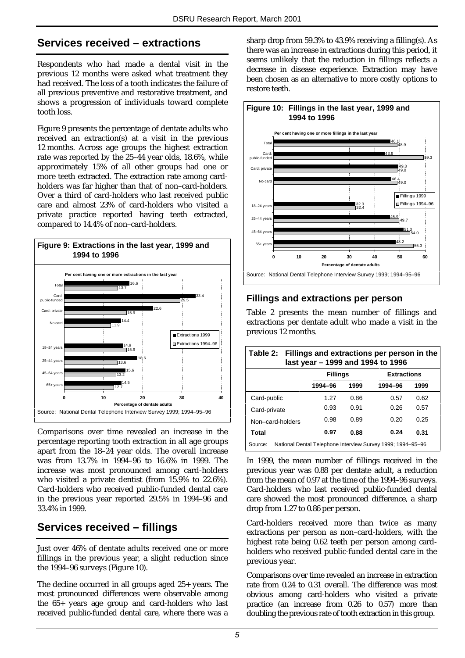### **Services received – extractions**

Respondents who had made a dental visit in the previous 12 months were asked what treatment they had received. The loss of a tooth indicates the failure of all previous preventive and restorative treatment, and shows a progression of individuals toward complete tooth loss.

Figure 9 presents the percentage of dentate adults who received an extraction(s) at a visit in the previous 12 months. Across age groups the highest extraction rate was reported by the 25–44 year olds, 18.6%, while approximately 15% of all other groups had one or more teeth extracted. The extraction rate among cardholders was far higher than that of non–card-holders. Over a third of card-holders who last received public care and almost 23% of card-holders who visited a private practice reported having teeth extracted, compared to 14.4% of non–card-holders.



Comparisons over time revealed an increase in the percentage reporting tooth extraction in all age groups apart from the 18–24 year olds. The overall increase was from 13.7% in 1994–96 to 16.6% in 1999. The increase was most pronounced among card-holders who visited a private dentist (from 15.9% to 22.6%). Card-holders who received public-funded dental care in the previous year reported 29.5% in 1994–96 and 33.4% in 1999.

# **Services received – fillings**

Just over 46% of dentate adults received one or more fillings in the previous year, a slight reduction since the 1994–96 surveys (Figure 10).

The decline occurred in all groups aged 25+ years. The most pronounced differences were observable among the 65+ years age group and card-holders who last received public-funded dental care, where there was a sharp drop from 59.3% to 43.9% receiving a filling(s). As there was an increase in extractions during this period, it seems unlikely that the reduction in fillings reflects a decrease in disease experience. Extraction may have been chosen as an alternative to more costly options to restore teeth.



### **Fillings and extractions per person**

Table 2 presents the mean number of fillings and extractions per dentate adult who made a visit in the previous 12 months.

| Table 2: Fillings and extractions per person in the<br>last year - 1999 and 1994 to 1996 |                 |      |                    |      |  |
|------------------------------------------------------------------------------------------|-----------------|------|--------------------|------|--|
|                                                                                          | <b>Fillings</b> |      | <b>Extractions</b> |      |  |
|                                                                                          | 1994-96         | 1999 | 1994-96            | 1999 |  |
| Card-public                                                                              | 1.27            | 0.86 | 0.57               | 0.62 |  |
| Card-private                                                                             | 0.93            | 0.91 | 0.26               | 0.57 |  |
| Non-card-holders                                                                         | 0.98            | 0.89 | 0.20               | 0.25 |  |
| <b>Total</b>                                                                             | 0.97            | 0.88 | 0.24               | 0.31 |  |
| National Dental Telephone Interview Survey 1999; 1994-95-96<br>Source:                   |                 |      |                    |      |  |

In 1999, the mean number of fillings received in the previous year was 0.88 per dentate adult, a reduction from the mean of 0.97 at the time of the 1994–96 surveys. Card-holders who last received public-funded dental care showed the most pronounced difference, a sharp drop from 1.27 to 0.86 per person.

Card-holders received more than twice as many extractions per person as non–card-holders, with the highest rate being 0.62 teeth per person among cardholders who received public-funded dental care in the previous year.

Comparisons over time revealed an increase in extraction rate from 0.24 to 0.31 overall. The difference was most obvious among card-holders who visited a private practice (an increase from 0.26 to 0.57) more than doubling the previous rate of tooth extraction in this group.